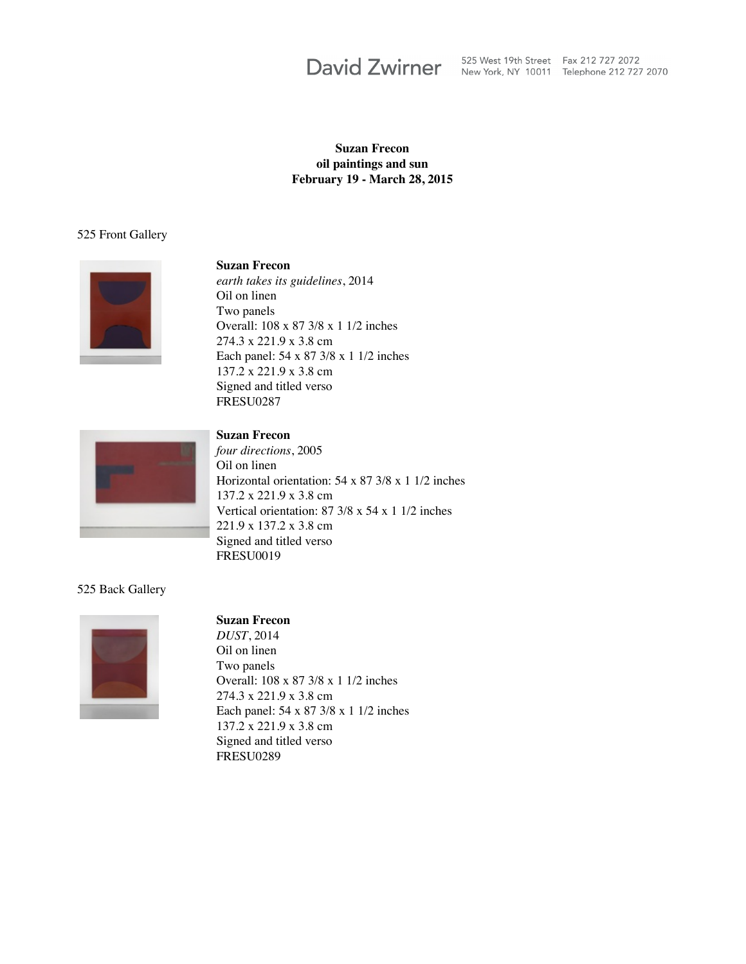# **David Zwirner**

525 West 19th Street Fax 212 727 2072 New York, NY 10011 Telephone 212 727 2070

#### **Suzan Frecon oil paintings and sun February 19 - March 28, 2015**

#### 525 Front Gallery



#### **Suzan Frecon**

*earth takes its guidelines*, 2014 Oil on linen Two panels Overall: 108 x 87 3/8 x 1 1/2 inches 274.3 x 221.9 x 3.8 cm Each panel: 54 x 87 3/8 x 1 1/2 inches 137.2 x 221.9 x 3.8 cm Signed and titled verso FRESU0287



# **Suzan Frecon**

*four directions*, 2005 Oil on linen Horizontal orientation: 54 x 87 3/8 x 1 1/2 inches 137.2 x 221.9 x 3.8 cm Vertical orientation: 87 3/8 x 54 x 1 1/2 inches 221.9 x 137.2 x 3.8 cm Signed and titled verso FRESU0019

### 525 Back Gallery



#### **Suzan Frecon**

*DUST*, 2014 Oil on linen Two panels Overall: 108 x 87 3/8 x 1 1/2 inches 274.3 x 221.9 x 3.8 cm Each panel: 54 x 87 3/8 x 1 1/2 inches 137.2 x 221.9 x 3.8 cm Signed and titled verso FRESU0289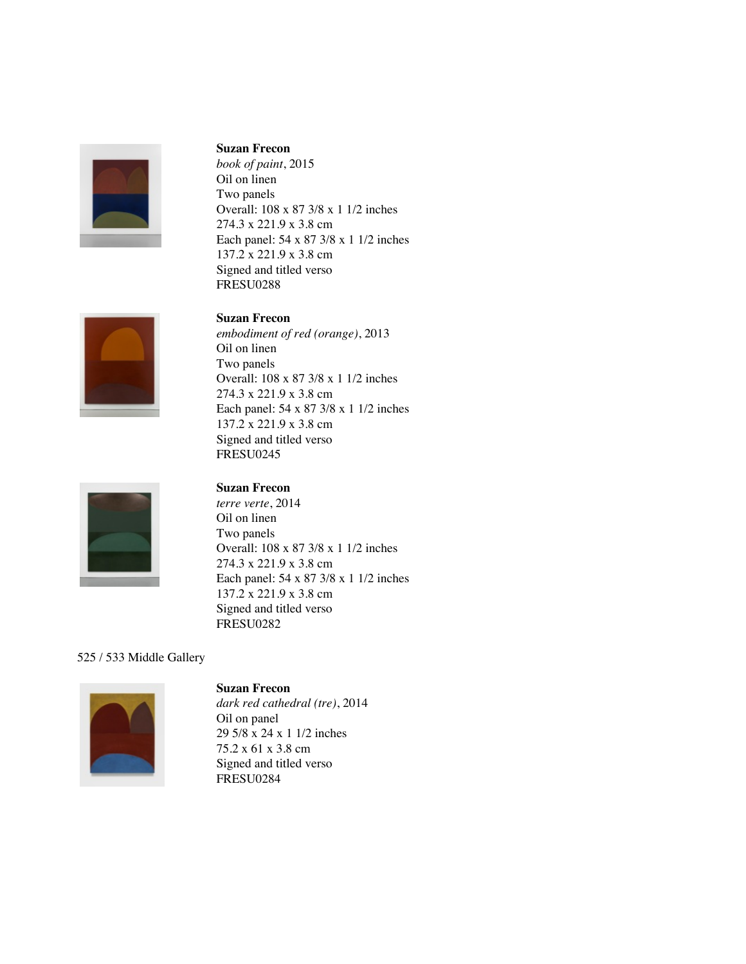

#### **Suzan Frecon**

*book of paint*, 2015 Oil on linen Two panels Overall: 108 x 87 3/8 x 1 1/2 inches 274.3 x 221.9 x 3.8 cm Each panel: 54 x 87 3/8 x 1 1/2 inches 137.2 x 221.9 x 3.8 cm Signed and titled verso FRESU0288

#### **Suzan Frecon**

*embodiment of red (orange)*, 2013 Oil on linen Two panels Overall: 108 x 87 3/8 x 1 1/2 inches 274.3 x 221.9 x 3.8 cm Each panel: 54 x 87 3/8 x 1 1/2 inches 137.2 x 221.9 x 3.8 cm Signed and titled verso FRESU0245



### **Suzan Frecon**

*terre verte*, 2014 Oil on linen Two panels Overall: 108 x 87 3/8 x 1 1/2 inches 274.3 x 221.9 x 3.8 cm Each panel: 54 x 87 3/8 x 1 1/2 inches 137.2 x 221.9 x 3.8 cm Signed and titled verso FRESU0282

## 525 / 533 Middle Gallery



# **Suzan Frecon**

*dark red cathedral (tre)*, 2014 Oil on panel 29 5/8 x 24 x 1 1/2 inches 75.2 x 61 x 3.8 cm Signed and titled verso FRESU0284